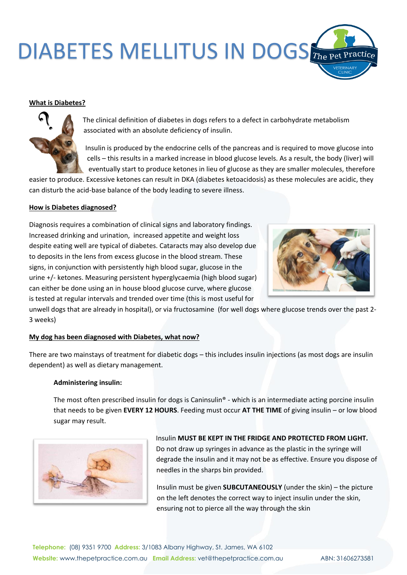# DIABETES MELLITUS IN DOGS The Pet Practice

## **What is Diabetes?**



The clinical definition of diabetes in dogs refers to a defect in carbohydrate metabolism associated with an absolute deficiency of insulin.

Insulin is produced by the endocrine cells of the pancreas and is required to move glucose into cells – this results in a marked increase in blood glucose levels. As a result, the body (liver) will eventually start to produce ketones in lieu of glucose as they are smaller molecules, therefore

easier to produce. Excessive ketones can result in DKA (diabetes ketoacidosis) as these molecules are acidic, they can disturb the acid-base balance of the body leading to severe illness.

#### **How is Diabetes diagnosed?**

Diagnosis requires a combination of clinical signs and laboratory findings. Increased drinking and urination, increased appetite and weight loss despite eating well are typical of diabetes. Cataracts may also develop due to deposits in the lens from excess glucose in the blood stream. These signs, in conjunction with persistently high blood sugar, glucose in the urine +/- ketones. Measuring persistent hyperglycaemia (high blood sugar) can either be done using an in house blood glucose curve, where glucose is tested at regular intervals and trended over time (this is most useful for



unwell dogs that are already in hospital), or via fructosamine (for well dogs where glucose trends over the past 2- 3 weeks)

#### **My dog has been diagnosed with Diabetes, what now?**

There are two mainstays of treatment for diabetic dogs – this includes insulin injections (as most dogs are insulin dependent) as well as dietary management.

#### **Administering insulin:**

The most often prescribed insulin for dogs is Caninsulin<sup>®</sup> - which is an intermediate acting porcine insulin that needs to be given **EVERY 12 HOURS**. Feeding must occur **AT THE TIME** of giving insulin – or low blood sugar may result.



Insulin **MUST BE KEPT IN THE FRIDGE AND PROTECTED FROM LIGHT.**  Do not draw up syringes in advance as the plastic in the syringe will degrade the insulin and it may not be as effective. Ensure you dispose of needles in the sharps bin provided.

Insulin must be given **SUBCUTANEOUSLY** (under the skin) – the picture on the left denotes the correct way to inject insulin under the skin, ensuring not to pierce all the way through the skin